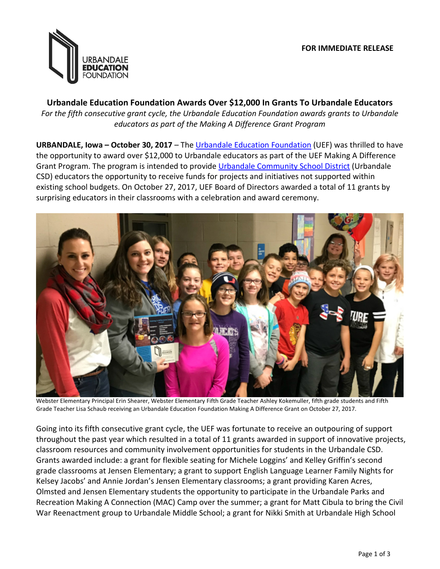

**Urbandale Education Foundation Awards Over \$12,000 In Grants To Urbandale Educators** *For the fifth consecutive grant cycle, the Urbandale Education Foundation awards grants to Urbandale educators as part of the Making A Difference Grant Program*

**URBANDALE, Iowa – October 30, 2017** – The [Urbandale Education Foundation](http://www.urbandaleeducationfoundation.com/) (UEF) was thrilled to have the opportunity to award over \$12,000 to Urbandale educators as part of the UEF Making A Difference Grant Program. The program is intended to provide [Urbandale Community School District](http://www.urbandaleschools.com/) (Urbandale CSD) educators the opportunity to receive funds for projects and initiatives not supported within existing school budgets. On October 27, 2017, UEF Board of Directors awarded a total of 11 grants by surprising educators in their classrooms with a celebration and award ceremony.



Webster Elementary Principal Erin Shearer, Webster Elementary Fifth Grade Teacher Ashley Kokemuller, fifth grade students and Fifth Grade Teacher Lisa Schaub receiving an Urbandale Education Foundation Making A Difference Grant on October 27, 2017.

Going into its fifth consecutive grant cycle, the UEF was fortunate to receive an outpouring of support throughout the past year which resulted in a total of 11 grants awarded in support of innovative projects, classroom resources and community involvement opportunities for students in the Urbandale CSD. Grants awarded include: a grant for flexible seating for Michele Loggins' and Kelley Griffin's second grade classrooms at Jensen Elementary; a grant to support English Language Learner Family Nights for Kelsey Jacobs' and Annie Jordan's Jensen Elementary classrooms; a grant providing Karen Acres, Olmsted and Jensen Elementary students the opportunity to participate in the Urbandale Parks and Recreation Making A Connection (MAC) Camp over the summer; a grant for Matt Cibula to bring the Civil War Reenactment group to Urbandale Middle School; a grant for Nikki Smith at Urbandale High School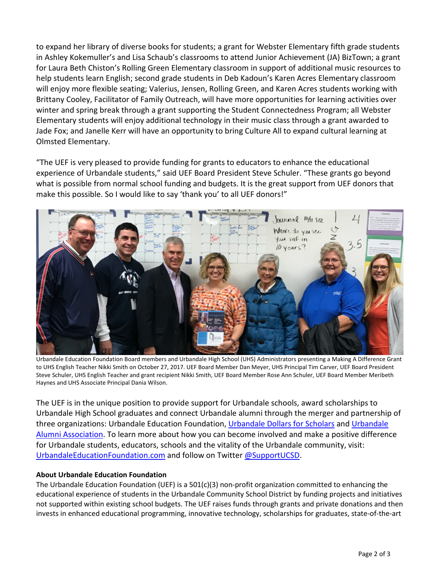to expand her library of diverse books for students; a grant for Webster Elementary fifth grade students in Ashley Kokemuller's and Lisa Schaub's classrooms to attend Junior Achievement (JA) BizTown; a grant for Laura Beth Chiston's Rolling Green Elementary classroom in support of additional music resources to help students learn English; second grade students in Deb Kadoun's Karen Acres Elementary classroom will enjoy more flexible seating; Valerius, Jensen, Rolling Green, and Karen Acres students working with Brittany Cooley, Facilitator of Family Outreach, will have more opportunities for learning activities over winter and spring break through a grant supporting the Student Connectedness Program; all Webster Elementary students will enjoy additional technology in their music class through a grant awarded to Jade Fox; and Janelle Kerr will have an opportunity to bring Culture All to expand cultural learning at Olmsted Elementary.

"The UEF is very pleased to provide funding for grants to educators to enhance the educational experience of Urbandale students," said UEF Board President Steve Schuler. "These grants go beyond what is possible from normal school funding and budgets. It is the great support from UEF donors that make this possible. So I would like to say 'thank you' to all UEF donors!"



Urbandale Education Foundation Board members and Urbandale High School (UHS) Administrators presenting a Making A Difference Grant to UHS English Teacher Nikki Smith on October 27, 2017. UEF Board Member Dan Meyer, UHS Principal Tim Carver, UEF Board President Steve Schuler, UHS English Teacher and grant recipient Nikki Smith, UEF Board Member Rose Ann Schuler, UEF Board Member Meribeth Haynes and UHS Associate Principal Dania Wilson.

The UEF is in the unique position to provide support for Urbandale schools, award scholarships to Urbandale High School graduates and connect Urbandale alumni through the merger and partnership of three organizations: Urbandale Education Foundation, [Urbandale Dollars for Scholars](http://www.urbandale.dollarsforscholars.org/) and [Urbandale](http://www.urbandalealumni.com/)  [Alumni Association.](http://www.urbandalealumni.com/) To learn more about how you can become involved and make a positive difference for Urbandale students, educators, schools and the vitality of the Urbandale community, visit: [UrbandaleEducationFoundation.com](http://www.urbandaleeducationfoundation.com/) and follow on Twitter [@SupportUCSD.](https://twitter.com/SupportUCSD)

## **About Urbandale Education Foundation**

The Urbandale Education Foundation (UEF) is a  $501(c)(3)$  non-profit organization committed to enhancing the educational experience of students in the Urbandale Community School District by funding projects and initiatives not supported within existing school budgets. The UEF raises funds through grants and private donations and then invests in enhanced educational programming, innovative technology, scholarships for graduates, state-of-the-art